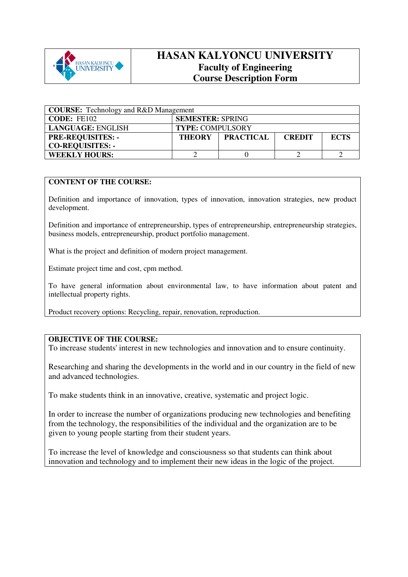

## **HASAN KALYONCU UNIVERSITY Faculty of Engineering Course Description Form**

| <b>COURSE:</b> Technology and R&D Management |                                                                   |  |  |  |
|----------------------------------------------|-------------------------------------------------------------------|--|--|--|
| CODE: FE102                                  | <b>SEMESTER: SPRING</b>                                           |  |  |  |
| <b>LANGUAGE: ENGLISH</b>                     | <b>TYPE: COMPULSORY</b>                                           |  |  |  |
| <b>PRE-REQUISITES: -</b>                     | <b>PRACTICAL</b><br><b>ECTS</b><br><b>THEORY</b><br><b>CREDIT</b> |  |  |  |
| <b>CO-REQUISITES: -</b>                      |                                                                   |  |  |  |
| <b>WEEKLY HOURS:</b>                         |                                                                   |  |  |  |

## **CONTENT OF THE COURSE:**

Definition and importance of innovation, types of innovation, innovation strategies, new product development.

Definition and importance of entrepreneurship, types of entrepreneurship, entrepreneurship strategies, business models, entrepreneurship, product portfolio management.

What is the project and definition of modern project management.

Estimate project time and cost, cpm method.

To have general information about environmental law, to have information about patent and intellectual property rights.

Product recovery options: Recycling, repair, renovation, reproduction.

## **OBJECTIVE OF THE COURSE:**

To increase students' interest in new technologies and innovation and to ensure continuity.

Researching and sharing the developments in the world and in our country in the field of new and advanced technologies.

To make students think in an innovative, creative, systematic and project logic.

In order to increase the number of organizations producing new technologies and benefiting from the technology, the responsibilities of the individual and the organization are to be given to young people starting from their student years.

To increase the level of knowledge and consciousness so that students can think about innovation and technology and to implement their new ideas in the logic of the project.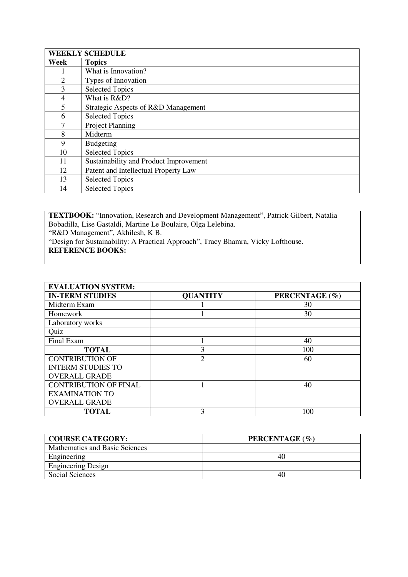|                | <b>WEEKLY SCHEDULE</b>                 |
|----------------|----------------------------------------|
| Week           | <b>Topics</b>                          |
|                | What is Innovation?                    |
| $\overline{2}$ | Types of Innovation                    |
| 3              | <b>Selected Topics</b>                 |
| 4              | What is R&D?                           |
| 5              | Strategic Aspects of R&D Management    |
| 6              | <b>Selected Topics</b>                 |
| 7              | Project Planning                       |
| 8              | Midterm                                |
| 9              | Budgeting                              |
| 10             | <b>Selected Topics</b>                 |
| 11             | Sustainability and Product Improvement |
| 12             | Patent and Intellectual Property Law   |
| 13             | <b>Selected Topics</b>                 |
| 14             | <b>Selected Topics</b>                 |

**TEXTBOOK:** "Innovation, Research and Development Management", Patrick Gilbert, Natalia Bobadilla, Lise Gastaldi, Martine Le Boulaire, Olga Lelebina. "R&D Management", Akhilesh, K B. "Design for Sustainability: A Practical Approach", Tracy Bhamra, Vicky Lofthouse.

## **REFERENCE BOOKS:**

| <b>EVALUATION SYSTEM:</b>    |                 |                |
|------------------------------|-----------------|----------------|
| <b>IN-TERM STUDIES</b>       | <b>QUANTITY</b> | PERCENTAGE (%) |
| Midterm Exam                 |                 | 30             |
| Homework                     |                 | 30             |
| Laboratory works             |                 |                |
| Quiz                         |                 |                |
| Final Exam                   |                 | 40             |
| <b>TOTAL</b>                 | 3               | 100            |
| <b>CONTRIBUTION OF</b>       | $\overline{2}$  | 60             |
| <b>INTERM STUDIES TO</b>     |                 |                |
| <b>OVERALL GRADE</b>         |                 |                |
| <b>CONTRIBUTION OF FINAL</b> |                 | 40             |
| <b>EXAMINATION TO</b>        |                 |                |
| <b>OVERALL GRADE</b>         |                 |                |
| <b>TOTAL</b>                 | 3               | 100            |

| <b>COURSE CATEGORY:</b>        | PERCENTAGE (%) |
|--------------------------------|----------------|
| Mathematics and Basic Sciences |                |
| Engineering                    | 40             |
| <b>Engineering Design</b>      |                |
| Social Sciences                | 40             |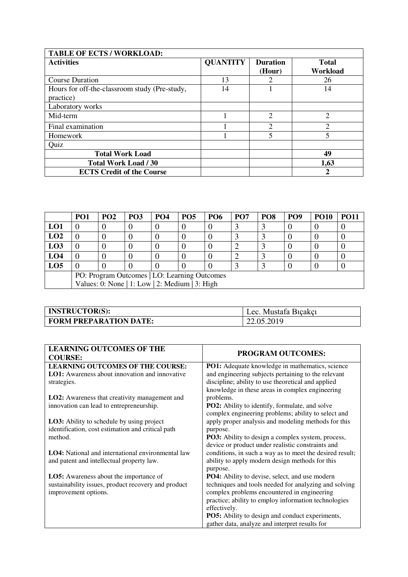| <b>TABLE OF ECTS / WORKLOAD:</b>                           |                 |                           |                          |  |  |
|------------------------------------------------------------|-----------------|---------------------------|--------------------------|--|--|
| <b>Activities</b>                                          | <b>QUANTITY</b> | <b>Duration</b><br>(Hour) | <b>Total</b><br>Workload |  |  |
| <b>Course Duration</b>                                     | 13              | $\mathcal{D}$             | 26                       |  |  |
| Hours for off-the-classroom study (Pre-study,<br>practice) | 14              |                           | 14                       |  |  |
| Laboratory works                                           |                 |                           |                          |  |  |
| Mid-term                                                   |                 | 2                         | $\overline{2}$           |  |  |
| Final examination                                          |                 | ◠                         | ◠                        |  |  |
| Homework                                                   |                 | 5                         | $\overline{\mathbf{5}}$  |  |  |
| Quiz                                                       |                 |                           |                          |  |  |
| <b>Total Work Load</b>                                     |                 |                           | 49                       |  |  |
| <b>Total Work Load / 30</b>                                |                 |                           | 1,63                     |  |  |
| <b>ECTS Credit of the Course</b>                           |                 |                           | 2                        |  |  |

|                                              | PO <sub>1</sub>                                | PO <sub>2</sub> | PO <sub>3</sub> | PO <sub>4</sub> | <b>PO5</b> | <b>PO6</b> | PO <sub>7</sub> | PO <sub>8</sub> | PO <sub>9</sub> | <b>PO10</b> | <b>PO11</b> |
|----------------------------------------------|------------------------------------------------|-----------------|-----------------|-----------------|------------|------------|-----------------|-----------------|-----------------|-------------|-------------|
| LO1                                          |                                                |                 |                 |                 |            |            |                 |                 |                 |             |             |
| LO2                                          |                                                |                 |                 |                 |            |            |                 |                 |                 |             |             |
| LO <sub>3</sub>                              |                                                |                 |                 |                 |            |            |                 |                 |                 |             |             |
| LO <sub>4</sub>                              |                                                |                 |                 |                 |            |            |                 |                 |                 |             |             |
| LO <sub>5</sub>                              |                                                |                 |                 |                 |            |            |                 |                 |                 |             |             |
| PO: Program Outcomes   LO: Learning Outcomes |                                                |                 |                 |                 |            |            |                 |                 |                 |             |             |
|                                              | Values: 0: None   1: Low   2: Medium   3: High |                 |                 |                 |            |            |                 |                 |                 |             |             |

| <b>INSTRUCTOR(S):</b>         | Lec. Mustafa Bicakçı |
|-------------------------------|----------------------|
| <b>FORM PREPARATION DATE:</b> | 22.05.2019           |

| <b>LEARNING OUTCOMES OF THE</b><br><b>COURSE:</b>    | <b>PROGRAM OUTCOMES:</b>                                 |
|------------------------------------------------------|----------------------------------------------------------|
| <b>LEARNING OUTCOMES OF THE COURSE:</b>              | <b>PO1:</b> Adequate knowledge in mathematics, science   |
| LO1: Awareness about innovation and innovative       | and engineering subjects pertaining to the relevant      |
| strategies.                                          | discipline; ability to use theoretical and applied       |
|                                                      | knowledge in these areas in complex engineering          |
| <b>LO2:</b> Awareness that creativity management and | problems.                                                |
| innovation can lead to entrepreneurship.             | PO2: Ability to identify, formulate, and solve           |
|                                                      | complex engineering problems; ability to select and      |
| <b>LO3:</b> Ability to schedule by using project     | apply proper analysis and modeling methods for this      |
| identification, cost estimation and critical path    | purpose.                                                 |
| method.                                              | PO3: Ability to design a complex system, process,        |
|                                                      | device or product under realistic constraints and        |
| LO4: National and international environmental law    | conditions, in such a way as to meet the desired result; |
| and patent and intellectual property law.            | ability to apply modern design methods for this          |
|                                                      | purpose.                                                 |
| <b>LO5:</b> Awareness about the importance of        | PO4: Ability to devise, select, and use modern           |
| sustainability issues, product recovery and product  | techniques and tools needed for analyzing and solving    |
| improvement options.                                 | complex problems encountered in engineering              |
|                                                      | practice; ability to employ information technologies     |
|                                                      | effectively.                                             |
|                                                      | <b>PO5:</b> Ability to design and conduct experiments,   |
|                                                      | gather data, analyze and interpret results for           |